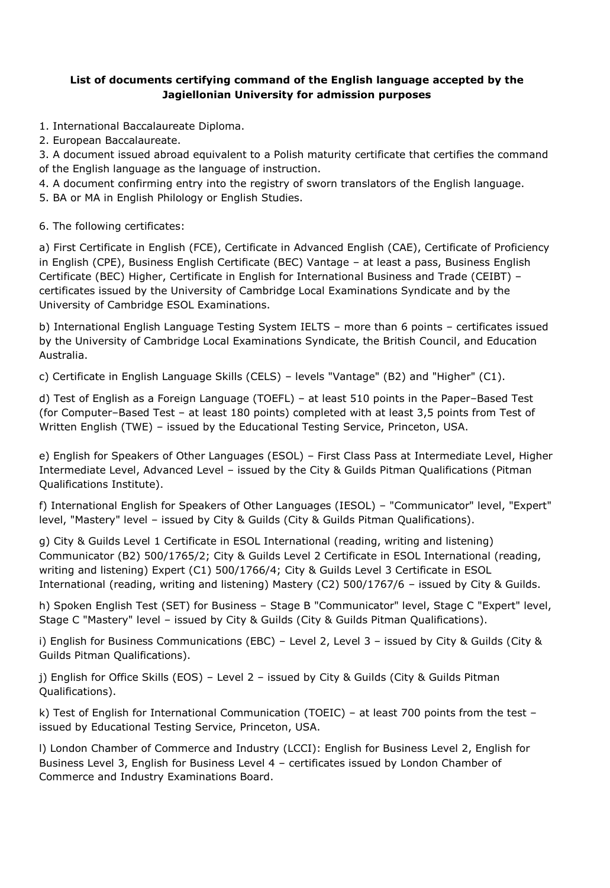## **List of documents certifying command of the English language accepted by the Jagiellonian University for admission purposes**

1. International Baccalaureate Diploma.

2. European Baccalaureate.

3. A document issued abroad equivalent to a Polish maturity certificate that certifies the command of the English language as the language of instruction.

4. A document confirming entry into the registry of sworn translators of the English language.

5. BA or MA in English Philology or English Studies.

6. The following certificates:

a) First Certificate in English (FCE), Certificate in Advanced English (CAE), Certificate of Proficiency in English (CPE), Business English Certificate (BEC) Vantage – at least a pass, Business English Certificate (BEC) Higher, Certificate in English for International Business and Trade (CEIBT) – certificates issued by the University of Cambridge Local Examinations Syndicate and by the University of Cambridge ESOL Examinations.

b) International English Language Testing System IELTS – more than 6 points – certificates issued by the University of Cambridge Local Examinations Syndicate, the British Council, and Education Australia.

c) Certificate in English Language Skills (CELS) – levels "Vantage" (B2) and "Higher" (C1).

d) Test of English as a Foreign Language (TOEFL) – at least 510 points in the Paper–Based Test (for Computer–Based Test – at least 180 points) completed with at least 3,5 points from Test of Written English (TWE) – issued by the Educational Testing Service, Princeton, USA.

e) English for Speakers of Other Languages (ESOL) – First Class Pass at Intermediate Level, Higher Intermediate Level, Advanced Level – issued by the City & Guilds Pitman Qualifications (Pitman Qualifications Institute).

f) International English for Speakers of Other Languages (IESOL) – "Communicator" level, "Expert" level, "Mastery" level – issued by City & Guilds (City & Guilds Pitman Qualifications).

g) City & Guilds Level 1 Certificate in ESOL International (reading, writing and listening) Communicator (B2) 500/1765/2; City & Guilds Level 2 Certificate in ESOL International (reading, writing and listening) Expert (C1) 500/1766/4; City & Guilds Level 3 Certificate in ESOL International (reading, writing and listening) Mastery (C2) 500/1767/6 – issued by City & Guilds.

h) Spoken English Test (SET) for Business – Stage B "Communicator" level, Stage C "Expert" level, Stage C "Mastery" level – issued by City & Guilds (City & Guilds Pitman Qualifications).

i) English for Business Communications (EBC) – Level 2, Level 3 – issued by City & Guilds (City & Guilds Pitman Qualifications).

j) English for Office Skills (EOS) – Level 2 – issued by City & Guilds (City & Guilds Pitman Qualifications).

k) Test of English for International Communication (TOEIC) – at least 700 points from the test – issued by Educational Testing Service, Princeton, USA.

l) London Chamber of Commerce and Industry (LCCI): English for Business Level 2, English for Business Level 3, English for Business Level 4 – certificates issued by London Chamber of Commerce and Industry Examinations Board.